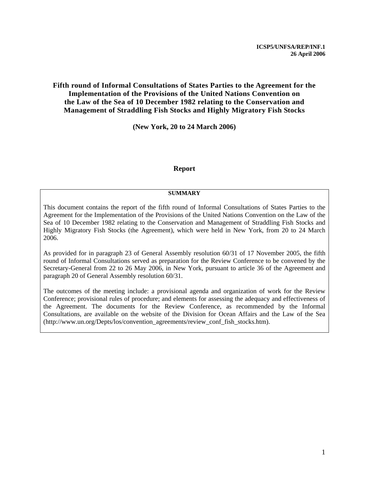#### **Fifth round of Informal Consultations of States Parties to the Agreement for the Implementation of the Provisions of the United Nations Convention on the Law of the Sea of 10 December 1982 relating to the Conservation and Management of Straddling Fish Stocks and Highly Migratory Fish Stocks**

**(New York, 20 to 24 March 2006)** 

#### **Report**

#### **SUMMARY**

This document contains the report of the fifth round of Informal Consultations of States Parties to the Agreement for the Implementation of the Provisions of the United Nations Convention on the Law of the Sea of 10 December 1982 relating to the Conservation and Management of Straddling Fish Stocks and Highly Migratory Fish Stocks (the Agreement), which were held in New York, from 20 to 24 March 2006.

As provided for in paragraph 23 of General Assembly resolution 60/31 of 17 November 2005, the fifth round of Informal Consultations served as preparation for the Review Conference to be convened by the Secretary-General from 22 to 26 May 2006, in New York, pursuant to article 36 of the Agreement and paragraph 20 of General Assembly resolution 60/31.

The outcomes of the meeting include: a provisional agenda and organization of work for the Review Conference; provisional rules of procedure; and elements for assessing the adequacy and effectiveness of the Agreement. The documents for the Review Conference, as recommended by the Informal Consultations, are available on the website of the Division for Ocean Affairs and the Law of the Sea (http://www.un.org/Depts/los/convention\_agreements/review\_conf\_fish\_stocks.htm).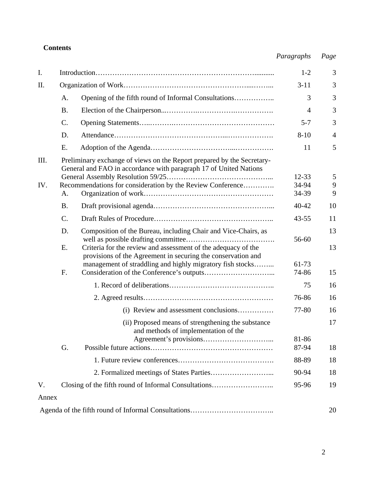# **Contents**

# *Paragraphs Page*

| I.        |                                                                                                                                                                                                                 |                                                                                                                                                                                            |                             | 3              |
|-----------|-----------------------------------------------------------------------------------------------------------------------------------------------------------------------------------------------------------------|--------------------------------------------------------------------------------------------------------------------------------------------------------------------------------------------|-----------------------------|----------------|
| II.       |                                                                                                                                                                                                                 |                                                                                                                                                                                            | $3 - 11$                    | 3              |
|           | A.                                                                                                                                                                                                              | Opening of the fifth round of Informal Consultations                                                                                                                                       | 3                           | 3              |
|           | <b>B.</b>                                                                                                                                                                                                       |                                                                                                                                                                                            | $\overline{4}$              | 3              |
|           | C.                                                                                                                                                                                                              |                                                                                                                                                                                            | $5 - 7$                     | 3              |
|           | D.                                                                                                                                                                                                              |                                                                                                                                                                                            | $8 - 10$                    | $\overline{4}$ |
|           | E.                                                                                                                                                                                                              |                                                                                                                                                                                            | 11                          | 5              |
| Ш.<br>IV. | Preliminary exchange of views on the Report prepared by the Secretary-<br>General and FAO in accordance with paragraph 17 of United Nations<br>Recommendations for consideration by the Review Conference<br>A. |                                                                                                                                                                                            | $12 - 33$<br>34-94<br>34-39 | 5<br>9<br>9    |
|           | <b>B.</b>                                                                                                                                                                                                       |                                                                                                                                                                                            | $40 - 42$                   | 10             |
|           | $\mathbf{C}$ .                                                                                                                                                                                                  |                                                                                                                                                                                            | $43 - 55$                   | 11             |
|           | D.                                                                                                                                                                                                              | Composition of the Bureau, including Chair and Vice-Chairs, as                                                                                                                             | 56-60                       | 13             |
|           | E.<br>F.                                                                                                                                                                                                        | Criteria for the review and assessment of the adequacy of the<br>provisions of the Agreement in securing the conservation and<br>management of straddling and highly migratory fish stocks | 61-73<br>74-86              | 13<br>15       |
|           |                                                                                                                                                                                                                 |                                                                                                                                                                                            | 75                          | 16             |
|           |                                                                                                                                                                                                                 |                                                                                                                                                                                            | 76-86                       | 16             |
|           |                                                                                                                                                                                                                 | (i) Review and assessment conclusions                                                                                                                                                      | 77-80                       | 16             |
|           |                                                                                                                                                                                                                 | (ii) Proposed means of strengthening the substance<br>and methods of implementation of the                                                                                                 |                             | 17             |
|           | G.                                                                                                                                                                                                              |                                                                                                                                                                                            | 81-86<br>87-94              | 18             |
|           |                                                                                                                                                                                                                 |                                                                                                                                                                                            | 88-89                       | 18             |
|           |                                                                                                                                                                                                                 |                                                                                                                                                                                            | 90-94                       | 18             |
| V.        |                                                                                                                                                                                                                 | Closing of the fifth round of Informal Consultations                                                                                                                                       | 95-96                       | 19             |
| Annex     |                                                                                                                                                                                                                 |                                                                                                                                                                                            |                             |                |
|           |                                                                                                                                                                                                                 |                                                                                                                                                                                            |                             | 20             |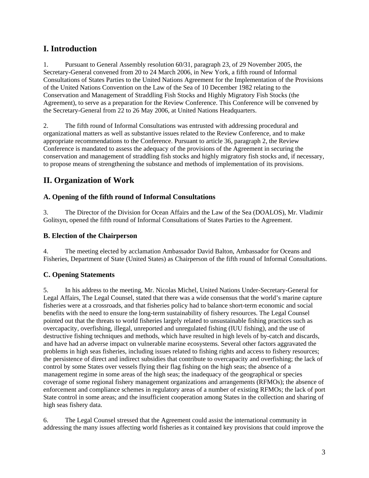# **I. Introduction**

1. Pursuant to General Assembly resolution 60/31, paragraph 23, of 29 November 2005, the Secretary-General convened from 20 to 24 March 2006, in New York, a fifth round of Informal Consultations of States Parties to the United Nations Agreement for the Implementation of the Provisions of the United Nations Convention on the Law of the Sea of 10 December 1982 relating to the Conservation and Management of Straddling Fish Stocks and Highly Migratory Fish Stocks (the Agreement), to serve as a preparation for the Review Conference. This Conference will be convened by the Secretary-General from 22 to 26 May 2006, at United Nations Headquarters.

2. The fifth round of Informal Consultations was entrusted with addressing procedural and organizational matters as well as substantive issues related to the Review Conference, and to make appropriate recommendations to the Conference. Pursuant to article 36, paragraph 2, the Review Conference is mandated to assess the adequacy of the provisions of the Agreement in securing the conservation and management of straddling fish stocks and highly migratory fish stocks and, if necessary, to propose means of strengthening the substance and methods of implementation of its provisions.

# **II. Organization of Work**

## **A. Opening of the fifth round of Informal Consultations**

3. The Director of the Division for Ocean Affairs and the Law of the Sea (DOALOS), Mr. Vladimir Golitsyn, opened the fifth round of Informal Consultations of States Parties to the Agreement.

### **B. Election of the Chairperson**

4. The meeting elected by acclamation Ambassador David Balton, Ambassador for Oceans and Fisheries, Department of State (United States) as Chairperson of the fifth round of Informal Consultations.

## **C. Opening Statements**

5. In his address to the meeting, Mr. Nicolas Michel, United Nations Under-Secretary-General for Legal Affairs, The Legal Counsel, stated that there was a wide consensus that the world's marine capture fisheries were at a crossroads, and that fisheries policy had to balance short-term economic and social benefits with the need to ensure the long-term sustainability of fishery resources. The Legal Counsel pointed out that the threats to world fisheries largely related to unsustainable fishing practices such as overcapacity, overfishing, illegal, unreported and unregulated fishing (IUU fishing), and the use of destructive fishing techniques and methods, which have resulted in high levels of by-catch and discards, and have had an adverse impact on vulnerable marine ecosystems. Several other factors aggravated the problems in high seas fisheries, including issues related to fishing rights and access to fishery resources; the persistence of direct and indirect subsidies that contribute to overcapacity and overfishing; the lack of control by some States over vessels flying their flag fishing on the high seas; the absence of a management regime in some areas of the high seas; the inadequacy of the geographical or species coverage of some regional fishery management organizations and arrangements (RFMOs); the absence of enforcement and compliance schemes in regulatory areas of a number of existing RFMOs; the lack of port State control in some areas; and the insufficient cooperation among States in the collection and sharing of high seas fishery data.

6. The Legal Counsel stressed that the Agreement could assist the international community in addressing the many issues affecting world fisheries as it contained key provisions that could improve the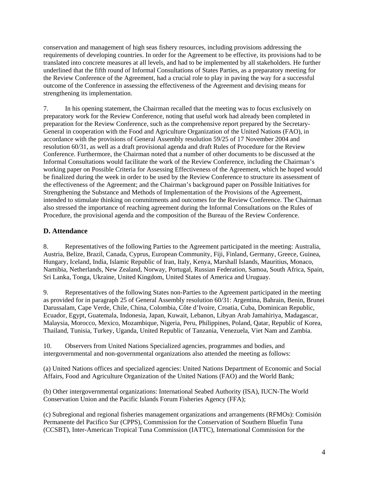conservation and management of high seas fishery resources, including provisions addressing the requirements of developing countries. In order for the Agreement to be effective, its provisions had to be translated into concrete measures at all levels, and had to be implemented by all stakeholders. He further underlined that the fifth round of Informal Consultations of States Parties, as a preparatory meeting for the Review Conference of the Agreement, had a crucial role to play in paving the way for a successful outcome of the Conference in assessing the effectiveness of the Agreement and devising means for strengthening its implementation.

7. In his opening statement, the Chairman recalled that the meeting was to focus exclusively on preparatory work for the Review Conference, noting that useful work had already been completed in preparation for the Review Conference, such as the comprehensive report prepared by the Secretary-General in cooperation with the Food and Agriculture Organization of the United Nations (FAO), in accordance with the provisions of General Assembly resolution 59/25 of 17 November 2004 and resolution 60/31, as well as a draft provisional agenda and draft Rules of Procedure for the Review Conference. Furthermore, the Chairman noted that a number of other documents to be discussed at the Informal Consultations would facilitate the work of the Review Conference, including the Chairman's working paper on Possible Criteria for Assessing Effectiveness of the Agreement, which he hoped would be finalized during the week in order to be used by the Review Conference to structure its assessment of the effectiveness of the Agreement; and the Chairman's background paper on Possible Initiatives for Strengthening the Substance and Methods of Implementation of the Provisions of the Agreement, intended to stimulate thinking on commitments and outcomes for the Review Conference. The Chairman also stressed the importance of reaching agreement during the Informal Consultations on the Rules of Procedure, the provisional agenda and the composition of the Bureau of the Review Conference.

## **D. Attendance**

8. Representatives of the following Parties to the Agreement participated in the meeting: Australia, Austria, Belize, Brazil, Canada, Cyprus, European Community, Fiji, Finland, Germany, Greece, Guinea, Hungary, Iceland, India, Islamic Republic of Iran, Italy, Kenya, Marshall Islands, Mauritius, Monaco, Namibia, Netherlands, New Zealand, Norway, Portugal, Russian Federation, Samoa, South Africa, Spain, Sri Lanka, Tonga, Ukraine, United Kingdom, United States of America and Uruguay.

9. Representatives of the following States non-Parties to the Agreement participated in the meeting as provided for in paragraph 25 of General Assembly resolution 60/31: Argentina, Bahrain, Benin, Brunei Darussalam, Cape Verde, Chile, China, Colombia, Côte d'Ivoire, Croatia, Cuba, Dominican Republic, Ecuador, Egypt, Guatemala, Indonesia, Japan, Kuwait, Lebanon, Libyan Arab Jamahiriya, Madagascar, Malaysia, Morocco, Mexico, Mozambique, Nigeria, Peru, Philippines, Poland, Qatar, Republic of Korea, Thailand, Tunisia, Turkey, Uganda, United Republic of Tanzania, Venezuela, Viet Nam and Zambia.

10. Observers from United Nations Specialized agencies, programmes and bodies, and intergovernmental and non-governmental organizations also attended the meeting as follows:

(a) United Nations offices and specialized agencies: United Nations Department of Economic and Social Affairs, Food and Agriculture Organization of the United Nations (FAO) and the World Bank;

(b) Other intergovernmental organizations: International Seabed Authority (ISA), IUCN-The World Conservation Union and the Pacific Islands Forum Fisheries Agency (FFA);

(c) Subregional and regional fisheries management organizations and arrangements (RFMOs): Comisión Permanente del Pacifico Sur (CPPS), Commission for the Conservation of Southern Bluefin Tuna (CCSBT), Inter-American Tropical Tuna Commission (IATTC), International Commission for the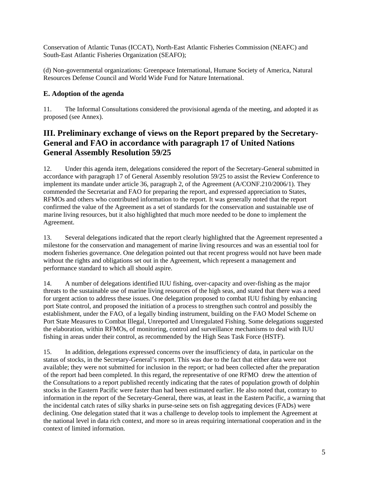Conservation of Atlantic Tunas (ICCAT), North-East Atlantic Fisheries Commission (NEAFC) and South-East Atlantic Fisheries Organization (SEAFO);

(d) Non-governmental organizations: Greenpeace International, Humane Society of America, Natural Resources Defense Council and World Wide Fund for Nature International.

## **E. Adoption of the agenda**

11. The Informal Consultations considered the provisional agenda of the meeting, and adopted it as proposed (see Annex).

# **III. Preliminary exchange of views on the Report prepared by the Secretary-General and FAO in accordance with paragraph 17 of United Nations General Assembly Resolution 59/25**

12. Under this agenda item, delegations considered the report of the Secretary-General submitted in accordance with paragraph 17 of General Assembly resolution 59/25 to assist the Review Conference to implement its mandate under article 36, paragraph 2, of the Agreement (A/CONF.210/2006/1). They commended the Secretariat and FAO for preparing the report, and expressed appreciation to States, RFMOs and others who contributed information to the report. It was generally noted that the report confirmed the value of the Agreement as a set of standards for the conservation and sustainable use of marine living resources, but it also highlighted that much more needed to be done to implement the Agreement.

13. Several delegations indicated that the report clearly highlighted that the Agreement represented a milestone for the conservation and management of marine living resources and was an essential tool for modern fisheries governance. One delegation pointed out that recent progress would not have been made without the rights and obligations set out in the Agreement, which represent a management and performance standard to which all should aspire.

14. A number of delegations identified IUU fishing, over-capacity and over-fishing as the major threats to the sustainable use of marine living resources of the high seas, and stated that there was a need for urgent action to address these issues. One delegation proposed to combat IUU fishing by enhancing port State control, and proposed the initiation of a process to strengthen such control and possibly the establishment, under the FAO, of a legally binding instrument, building on the FAO Model Scheme on Port State Measures to Combat Illegal, Unreported and Unregulated Fishing. Some delegations suggested the elaboration, within RFMOs, of monitoring, control and surveillance mechanisms to deal with IUU fishing in areas under their control, as recommended by the High Seas Task Force (HSTF).

15. In addition, delegations expressed concerns over the insufficiency of data, in particular on the status of stocks, in the Secretary-General's report. This was due to the fact that either data were not available; they were not submitted for inclusion in the report; or had been collected after the preparation of the report had been completed. In this regard, the representative of one RFMO drew the attention of the Consultations to a report published recently indicating that the rates of population growth of dolphin stocks in the Eastern Pacific were faster than had been estimated earlier. He also noted that, contrary to information in the report of the Secretary-General, there was, at least in the Eastern Pacific, a warning that the incidental catch rates of silky sharks in purse-seine sets on fish aggregating devices (FADs) were declining. One delegation stated that it was a challenge to develop tools to implement the Agreement at the national level in data rich context, and more so in areas requiring international cooperation and in the context of limited information.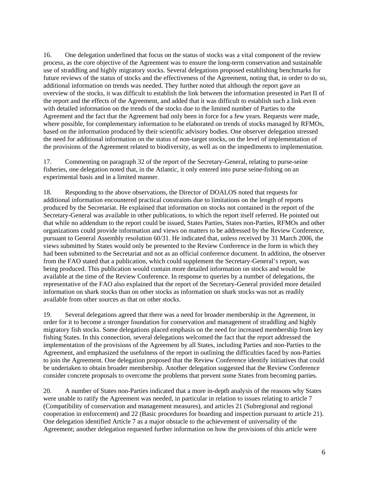16. One delegation underlined that focus on the status of stocks was a vital component of the review process, as the core objective of the Agreement was to ensure the long-term conservation and sustainable use of straddling and highly migratory stocks. Several delegations proposed establishing benchmarks for future reviews of the status of stocks and the effectiveness of the Agreement, noting that, in order to do so, additional information on trends was needed. They further noted that although the report gave an overview of the stocks, it was difficult to establish the link between the information presented in Part II of the report and the effects of the Agreement, and added that it was difficult to establish such a link even with detailed information on the trends of the stocks due to the limited number of Parties to the Agreement and the fact that the Agreement had only been in force for a few years. Requests were made, where possible, for complementary information to be elaborated on trends of stocks managed by RFMOs, based on the information produced by their scientific advisory bodies. One observer delegation stressed the need for additional information on the status of non-target stocks, on the level of implementation of the provisions of the Agreement related to biodiversity, as well as on the impediments to implementation.

17. Commenting on paragraph 32 of the report of the Secretary-General, relating to purse-seine fisheries, one delegation noted that, in the Atlantic, it only entered into purse seine-fishing on an experimental basis and in a limited manner.

18. Responding to the above observations, the Director of DOALOS noted that requests for additional information encountered practical constraints due to limitations on the length of reports produced by the Secretariat. He explained that information on stocks not contained in the report of the Secretary-General was available in other publications, to which the report itself referred. He pointed out that while no addendum to the report could be issued, States Parties, States non-Parties, RFMOs and other organizations could provide information and views on matters to be addressed by the Review Conference, pursuant to General Assembly resolution 60/31. He indicated that, unless received by 31 March 2006, the views submitted by States would only be presented to the Review Conference in the form in which they had been submitted to the Secretariat and not as an official conference document. In addition, the observer from the FAO stated that a publication, which could supplement the Secretary-General's report, was being produced. This publication would contain more detailed information on stocks and would be available at the time of the Review Conference. In response to queries by a number of delegations, the representative of the FAO also explained that the report of the Secretary-General provided more detailed information on shark stocks than on other stocks as information on shark stocks was not as readily available from other sources as that on other stocks.

19. Several delegations agreed that there was a need for broader membership in the Agreement, in order for it to become a stronger foundation for conservation and management of straddling and highly migratory fish stocks. Some delegations placed emphasis on the need for increased membership from key fishing States. In this connection, several delegations welcomed the fact that the report addressed the implementation of the provisions of the Agreement by all States, including Parties and non-Parties to the Agreement, and emphasized the usefulness of the report in outlining the difficulties faced by non-Parties to join the Agreement. One delegation proposed that the Review Conference identify initiatives that could be undertaken to obtain broader membership. Another delegation suggested that the Review Conference consider concrete proposals to overcome the problems that prevent some States from becoming parties.

20. A number of States non-Parties indicated that a more in-depth analysis of the reasons why States were unable to ratify the Agreement was needed, in particular in relation to issues relating to article 7 (Compatibility of conservation and management measures), and articles 21 (Subregional and regional cooperation in enforcement) and 22 (Basic procedures for boarding and inspection pursuant to article 21). One delegation identified Article 7 as a major obstacle to the achievement of universality of the Agreement; another delegation requested further information on how the provisions of this article were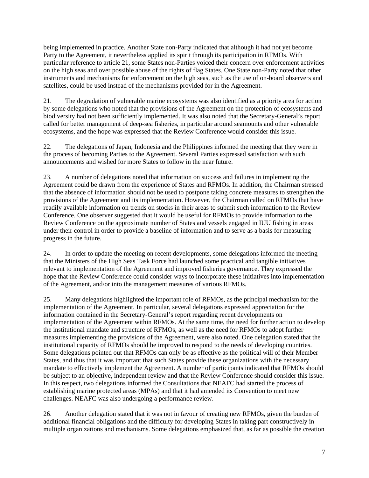being implemented in practice. Another State non-Party indicated that although it had not yet become Party to the Agreement, it nevertheless applied its spirit through its participation in RFMOs. With particular reference to article 21, some States non-Parties voiced their concern over enforcement activities on the high seas and over possible abuse of the rights of flag States. One State non-Party noted that other instruments and mechanisms for enforcement on the high seas, such as the use of on-board observers and satellites, could be used instead of the mechanisms provided for in the Agreement.

21. The degradation of vulnerable marine ecosystems was also identified as a priority area for action by some delegations who noted that the provisions of the Agreement on the protection of ecosystems and biodiversity had not been sufficiently implemented. It was also noted that the Secretary-General's report called for better management of deep-sea fisheries, in particular around seamounts and other vulnerable ecosystems, and the hope was expressed that the Review Conference would consider this issue.

22. The delegations of Japan, Indonesia and the Philippines informed the meeting that they were in the process of becoming Parties to the Agreement. Several Parties expressed satisfaction with such announcements and wished for more States to follow in the near future.

23. A number of delegations noted that information on success and failures in implementing the Agreement could be drawn from the experience of States and RFMOs. In addition, the Chairman stressed that the absence of information should not be used to postpone taking concrete measures to strengthen the provisions of the Agreement and its implementation. However, the Chairman called on RFMOs that have readily available information on trends on stocks in their areas to submit such information to the Review Conference. One observer suggested that it would be useful for RFMOs to provide information to the Review Conference on the approximate number of States and vessels engaged in IUU fishing in areas under their control in order to provide a baseline of information and to serve as a basis for measuring progress in the future.

24. In order to update the meeting on recent developments, some delegations informed the meeting that the Ministers of the High Seas Task Force had launched some practical and tangible initiatives relevant to implementation of the Agreement and improved fisheries governance. They expressed the hope that the Review Conference could consider ways to incorporate these initiatives into implementation of the Agreement, and/or into the management measures of various RFMOs.

25. Many delegations highlighted the important role of RFMOs, as the principal mechanism for the implementation of the Agreement. In particular, several delegations expressed appreciation for the information contained in the Secretary-General's report regarding recent developments on implementation of the Agreement within RFMOs. At the same time, the need for further action to develop the institutional mandate and structure of RFMOs, as well as the need for RFMOs to adopt further measures implementing the provisions of the Agreement, were also noted. One delegation stated that the institutional capacity of RFMOs should be improved to respond to the needs of developing countries. Some delegations pointed out that RFMOs can only be as effective as the political will of their Member States, and thus that it was important that such States provide these organizations with the necessary mandate to effectively implement the Agreement. A number of participants indicated that RFMOs should be subject to an objective, independent review and that the Review Conference should consider this issue. In this respect, two delegations informed the Consultations that NEAFC had started the process of establishing marine protected areas (MPAs) and that it had amended its Convention to meet new challenges. NEAFC was also undergoing a performance review.

26. Another delegation stated that it was not in favour of creating new RFMOs, given the burden of additional financial obligations and the difficulty for developing States in taking part constructively in multiple organizations and mechanisms. Some delegations emphasized that, as far as possible the creation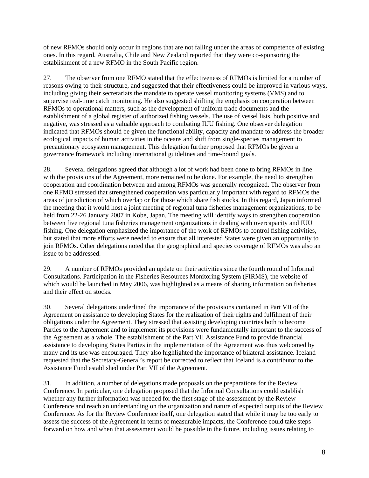of new RFMOs should only occur in regions that are not falling under the areas of competence of existing ones. In this regard, Australia, Chile and New Zealand reported that they were co-sponsoring the establishment of a new RFMO in the South Pacific region.

27. The observer from one RFMO stated that the effectiveness of RFMOs is limited for a number of reasons owing to their structure, and suggested that their effectiveness could be improved in various ways, including giving their secretariats the mandate to operate vessel monitoring systems (VMS) and to supervise real-time catch monitoring. He also suggested shifting the emphasis on cooperation between RFMOs to operational matters, such as the development of uniform trade documents and the establishment of a global register of authorized fishing vessels. The use of vessel lists, both positive and negative, was stressed as a valuable approach to combating IUU fishing. One observer delegation indicated that RFMOs should be given the functional ability, capacity and mandate to address the broader ecological impacts of human activities in the oceans and shift from single-species management to precautionary ecosystem management. This delegation further proposed that RFMOs be given a governance framework including international guidelines and time-bound goals.

28. Several delegations agreed that although a lot of work had been done to bring RFMOs in line with the provisions of the Agreement, more remained to be done. For example, the need to strengthen cooperation and coordination between and among RFMOs was generally recognized. The observer from one RFMO stressed that strengthened cooperation was particularly important with regard to RFMOs the areas of jurisdiction of which overlap or for those which share fish stocks. In this regard, Japan informed the meeting that it would host a joint meeting of regional tuna fisheries management organizations, to be held from 22-26 January 2007 in Kobe, Japan. The meeting will identify ways to strengthen cooperation between five regional tuna fisheries management organizations in dealing with overcapacity and IUU fishing. One delegation emphasized the importance of the work of RFMOs to control fishing activities, but stated that more efforts were needed to ensure that all interested States were given an opportunity to join RFMOs. Other delegations noted that the geographical and species coverage of RFMOs was also an issue to be addressed.

29. A number of RFMOs provided an update on their activities since the fourth round of Informal Consultations. Participation in the Fisheries Resources Monitoring System (FIRMS), the website of which would be launched in May 2006, was highlighted as a means of sharing information on fisheries and their effect on stocks.

30. Several delegations underlined the importance of the provisions contained in Part VII of the Agreement on assistance to developing States for the realization of their rights and fulfilment of their obligations under the Agreement. They stressed that assisting developing countries both to become Parties to the Agreement and to implement its provisions were fundamentally important to the success of the Agreement as a whole. The establishment of the Part VII Assistance Fund to provide financial assistance to developing States Parties in the implementation of the Agreement was thus welcomed by many and its use was encouraged. They also highlighted the importance of bilateral assistance. Iceland requested that the Secretary-General's report be corrected to reflect that Iceland is a contributor to the Assistance Fund established under Part VII of the Agreement.

31. In addition, a number of delegations made proposals on the preparations for the Review Conference. In particular, one delegation proposed that the Informal Consultations could establish whether any further information was needed for the first stage of the assessment by the Review Conference and reach an understanding on the organization and nature of expected outputs of the Review Conference. As for the Review Conference itself, one delegation stated that while it may be too early to assess the success of the Agreement in terms of measurable impacts, the Conference could take steps forward on how and when that assessment would be possible in the future, including issues relating to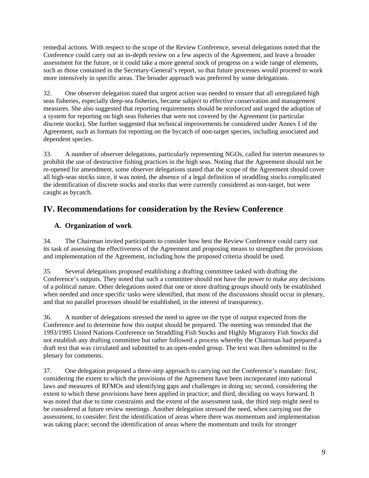remedial actions. With respect to the scope of the Review Conference, several delegations noted that the Conference could carry out an in-depth review on a few aspects of the Agreement, and leave a broader assessment for the future, or it could take a more general stock of progress on a wide range of elements, such as those contained in the Secretary-General's report, so that future processes would proceed to work more intensively in specific areas. The broader approach was preferred by some delegations.

32. One observer delegation stated that urgent action was needed to ensure that all unregulated high seas fisheries, especially deep-sea fisheries, became subject to effective conservation and management measures. She also suggested that reporting requirements should be reinforced and urged the adoption of a system for reporting on high seas fisheries that were not covered by the Agreement (in particular discrete stocks). She further suggested that technical improvements be considered under Annex I of the Agreement, such as formats for reporting on the bycatch of non-target species, including associated and dependent species.

33. A number of observer delegations, particularly representing NGOs, called for interim measures to prohibit the use of destructive fishing practices in the high seas. Noting that the Agreement should not be re-opened for amendment, some observer delegations stated that the scope of the Agreement should cover all high-seas stocks since, it was noted, the absence of a legal definition of straddling stocks complicated the identification of discrete stocks and stocks that were currently considered as non-target, but were caught as bycatch.

# **IV. Recommendations for consideration by the Review Conference**

### **A. Organization of work**

34. The Chairman invited participants to consider how best the Review Conference could carry out its task of assessing the effectiveness of the Agreement and proposing means to strengthen the provisions and implementation of the Agreement, including how the proposed criteria should be used.

35. Several delegations proposed establishing a drafting committee tasked with drafting the Conference's outputs. They noted that such a committee should not have the power to make any decisions of a political nature. Other delegations noted that one or more drafting groups should only be established when needed and once specific tasks were identified, that most of the discussions should occur in plenary, and that no parallel processes should be established, in the interest of transparency.

36. A number of delegations stressed the need to agree on the type of output expected from the Conference and to determine how this output should be prepared. The meeting was reminded that the 1993/1995 United Nations Conference on Straddling Fish Stocks and Highly Migratory Fish Stocks did not establish any drafting committee but rather followed a process whereby the Chairman had prepared a draft text that was circulated and submitted to an open-ended group. The text was then submitted to the plenary for comments.

37. One delegation proposed a three-step approach to carrying out the Conference's mandate: first, considering the extent to which the provisions of the Agreement have been incorporated into national laws and measures of RFMOs and identifying gaps and challenges in doing so; second, considering the extent to which these provisions have been applied in practice; and third, deciding on ways forward. It was noted that due to time constraints and the extent of the assessment task, the third step might need to be considered at future review meetings. Another delegation stressed the need, when carrying out the assessment, to consider: first the identification of areas where there was momentum and implementation was taking place; second the identification of areas where the momentum and tools for stronger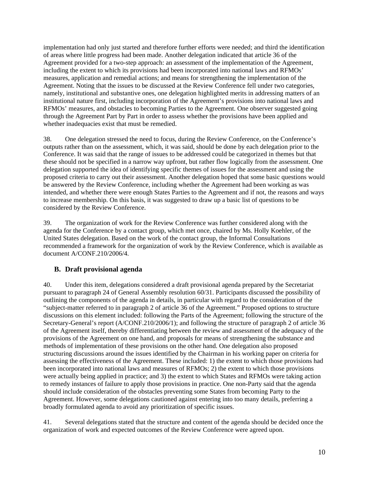implementation had only just started and therefore further efforts were needed; and third the identification of areas where little progress had been made. Another delegation indicated that article 36 of the Agreement provided for a two-step approach: an assessment of the implementation of the Agreement, including the extent to which its provisions had been incorporated into national laws and RFMOs' measures, application and remedial actions; and means for strengthening the implementation of the Agreement. Noting that the issues to be discussed at the Review Conference fell under two categories, namely, institutional and substantive ones, one delegation highlighted merits in addressing matters of an institutional nature first, including incorporation of the Agreement's provisions into national laws and RFMOs' measures, and obstacles to becoming Parties to the Agreement. One observer suggested going through the Agreement Part by Part in order to assess whether the provisions have been applied and whether inadequacies exist that must be remedied.

38. One delegation stressed the need to focus, during the Review Conference, on the Conference's outputs rather than on the assessment, which, it was said, should be done by each delegation prior to the Conference. It was said that the range of issues to be addressed could be categorized in themes but that these should not be specified in a narrow way upfront, but rather flow logically from the assessment. One delegation supported the idea of identifying specific themes of issues for the assessment and using the proposed criteria to carry out their assessment. Another delegation hoped that some basic questions would be answered by the Review Conference, including whether the Agreement had been working as was intended, and whether there were enough States Parties to the Agreement and if not, the reasons and ways to increase membership. On this basis, it was suggested to draw up a basic list of questions to be considered by the Review Conference.

39. The organization of work for the Review Conference was further considered along with the agenda for the Conference by a contact group, which met once, chaired by Ms. Holly Koehler, of the United States delegation. Based on the work of the contact group, the Informal Consultations recommended a framework for the organization of work by the Review Conference, which is available as document A/CONF.210/2006/4.

### **B. Draft provisional agenda**

40. Under this item, delegations considered a draft provisional agenda prepared by the Secretariat pursuant to paragraph 24 of General Assembly resolution 60/31. Participants discussed the possibility of outlining the components of the agenda in details, in particular with regard to the consideration of the "subject-matter referred to in paragraph 2 of article 36 of the Agreement." Proposed options to structure discussions on this element included: following the Parts of the Agreement; following the structure of the Secretary-General's report (A/CONF.210/2006/1); and following the structure of paragraph 2 of article 36 of the Agreement itself, thereby differentiating between the review and assessment of the adequacy of the provisions of the Agreement on one hand, and proposals for means of strengthening the substance and methods of implementation of these provisions on the other hand. One delegation also proposed structuring discussions around the issues identified by the Chairman in his working paper on criteria for assessing the effectiveness of the Agreement. These included: 1) the extent to which those provisions had been incorporated into national laws and measures of RFMOs; 2) the extent to which those provisions were actually being applied in practice; and 3) the extent to which States and RFMOs were taking action to remedy instances of failure to apply those provisions in practice. One non-Party said that the agenda should include consideration of the obstacles preventing some States from becoming Party to the Agreement. However, some delegations cautioned against entering into too many details, preferring a broadly formulated agenda to avoid any prioritization of specific issues.

41. Several delegations stated that the structure and content of the agenda should be decided once the organization of work and expected outcomes of the Review Conference were agreed upon.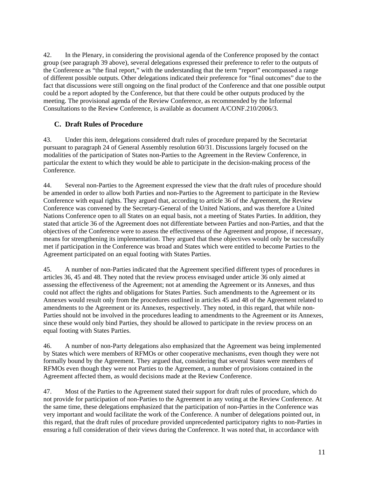42. In the Plenary, in considering the provisional agenda of the Conference proposed by the contact group (see paragraph 39 above), several delegations expressed their preference to refer to the outputs of the Conference as "the final report," with the understanding that the term "report" encompassed a range of different possible outputs. Other delegations indicated their preference for "final outcomes" due to the fact that discussions were still ongoing on the final product of the Conference and that one possible output could be a report adopted by the Conference, but that there could be other outputs produced by the meeting. The provisional agenda of the Review Conference, as recommended by the Informal Consultations to the Review Conference, is available as document A/CONF.210/2006/3.

## **C. Draft Rules of Procedure**

43. Under this item, delegations considered draft rules of procedure prepared by the Secretariat pursuant to paragraph 24 of General Assembly resolution 60/31. Discussions largely focused on the modalities of the participation of States non-Parties to the Agreement in the Review Conference, in particular the extent to which they would be able to participate in the decision-making process of the Conference.

44. Several non-Parties to the Agreement expressed the view that the draft rules of procedure should be amended in order to allow both Parties and non-Parties to the Agreement to participate in the Review Conference with equal rights. They argued that, according to article 36 of the Agreement, the Review Conference was convened by the Secretary-General of the United Nations, and was therefore a United Nations Conference open to all States on an equal basis, not a meeting of States Parties. In addition, they stated that article 36 of the Agreement does not differentiate between Parties and non-Parties, and that the objectives of the Conference were to assess the effectiveness of the Agreement and propose, if necessary, means for strengthening its implementation. They argued that these objectives would only be successfully met if participation in the Conference was broad and States which were entitled to become Parties to the Agreement participated on an equal footing with States Parties.

45. A number of non-Parties indicated that the Agreement specified different types of procedures in articles 36, 45 and 48. They noted that the review process envisaged under article 36 only aimed at assessing the effectiveness of the Agreement; not at amending the Agreement or its Annexes, and thus could not affect the rights and obligations for States Parties. Such amendments to the Agreement or its Annexes would result only from the procedures outlined in articles 45 and 48 of the Agreement related to amendments to the Agreement or its Annexes, respectively. They noted, in this regard, that while non-Parties should not be involved in the procedures leading to amendments to the Agreement or its Annexes, since these would only bind Parties, they should be allowed to participate in the review process on an equal footing with States Parties.

46. A number of non-Party delegations also emphasized that the Agreement was being implemented by States which were members of RFMOs or other cooperative mechanisms, even though they were not formally bound by the Agreement. They argued that, considering that several States were members of RFMOs even though they were not Parties to the Agreement, a number of provisions contained in the Agreement affected them, as would decisions made at the Review Conference.

47. Most of the Parties to the Agreement stated their support for draft rules of procedure, which do not provide for participation of non-Parties to the Agreement in any voting at the Review Conference. At the same time, these delegations emphasized that the participation of non-Parties in the Conference was very important and would facilitate the work of the Conference. A number of delegations pointed out, in this regard, that the draft rules of procedure provided unprecedented participatory rights to non-Parties in ensuring a full consideration of their views during the Conference. It was noted that, in accordance with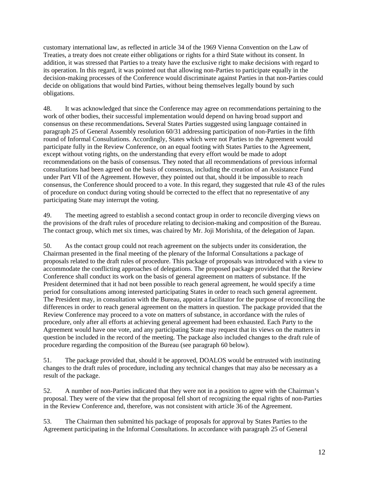customary international law, as reflected in article 34 of the 1969 Vienna Convention on the Law of Treaties, a treaty does not create either obligations or rights for a third State without its consent. In addition, it was stressed that Parties to a treaty have the exclusive right to make decisions with regard to its operation. In this regard, it was pointed out that allowing non-Parties to participate equally in the decision-making processes of the Conference would discriminate against Parties in that non-Parties could decide on obligations that would bind Parties, without being themselves legally bound by such obligations.

48. It was acknowledged that since the Conference may agree on recommendations pertaining to the work of other bodies, their successful implementation would depend on having broad support and consensus on these recommendations**.** Several States Parties suggested using language contained in paragraph 25 of General Assembly resolution 60/31 addressing participation of non-Parties in the fifth round of Informal Consultations. Accordingly, States which were not Parties to the Agreement would participate fully in the Review Conference, on an equal footing with States Parties to the Agreement, except without voting rights, on the understanding that every effort would be made to adopt recommendations on the basis of consensus. They noted that all recommendations of previous informal consultations had been agreed on the basis of consensus, including the creation of an Assistance Fund under Part VII of the Agreement. However, they pointed out that, should it be impossible to reach consensus, the Conference should proceed to a vote. In this regard, they suggested that rule 43 of the rules of procedure on conduct during voting should be corrected to the effect that no representative of any participating State may interrupt the voting.

49. The meeting agreed to establish a second contact group in order to reconcile diverging views on the provisions of the draft rules of procedure relating to decision-making and composition of the Bureau. The contact group, which met six times, was chaired by Mr. Joji Morishita, of the delegation of Japan.

50. As the contact group could not reach agreement on the subjects under its consideration, the Chairman presented in the final meeting of the plenary of the Informal Consultations a package of proposals related to the draft rules of procedure. This package of proposals was introduced with a view to accommodate the conflicting approaches of delegations. The proposed package provided that the Review Conference shall conduct its work on the basis of general agreement on matters of substance. If the President determined that it had not been possible to reach general agreement, he would specify a time period for consultations among interested participating States in order to reach such general agreement. The President may, in consultation with the Bureau, appoint a facilitator for the purpose of reconciling the differences in order to reach general agreement on the matters in question. The package provided that the Review Conference may proceed to a vote on matters of substance, in accordance with the rules of procedure, only after all efforts at achieving general agreement had been exhausted. Each Party to the Agreement would have one vote, and any participating State may request that its views on the matters in question be included in the record of the meeting. The package also included changes to the draft rule of procedure regarding the composition of the Bureau (see paragraph 60 below).

51. The package provided that, should it be approved, DOALOS would be entrusted with instituting changes to the draft rules of procedure, including any technical changes that may also be necessary as a result of the package.

52. A number of non-Parties indicated that they were not in a position to agree with the Chairman's proposal. They were of the view that the proposal fell short of recognizing the equal rights of non-Parties in the Review Conference and, therefore, was not consistent with article 36 of the Agreement.

53. The Chairman then submitted his package of proposals for approval by States Parties to the Agreement participating in the Informal Consultations. In accordance with paragraph 25 of General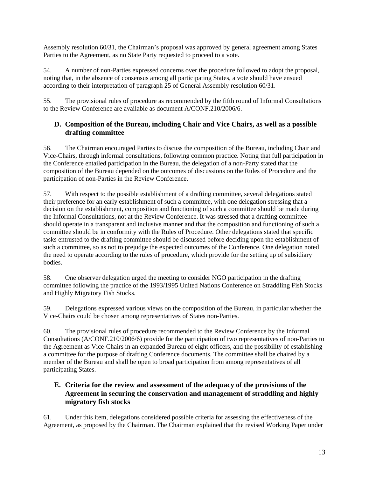Assembly resolution 60/31, the Chairman's proposal was approved by general agreement among States Parties to the Agreement, as no State Party requested to proceed to a vote.

54. A number of non-Parties expressed concerns over the procedure followed to adopt the proposal, noting that, in the absence of consensus among all participating States, a vote should have ensued according to their interpretation of paragraph 25 of General Assembly resolution 60/31.

55. The provisional rules of procedure as recommended by the fifth round of Informal Consultations to the Review Conference are available as document A/CONF.210/2006/6.

#### **D. Composition of the Bureau, including Chair and Vice Chairs, as well as a possible drafting committee**

56. The Chairman encouraged Parties to discuss the composition of the Bureau, including Chair and Vice-Chairs, through informal consultations, following common practice. Noting that full participation in the Conference entailed participation in the Bureau, the delegation of a non-Party stated that the composition of the Bureau depended on the outcomes of discussions on the Rules of Procedure and the participation of non-Parties in the Review Conference.

57. With respect to the possible establishment of a drafting committee, several delegations stated their preference for an early establishment of such a committee, with one delegation stressing that a decision on the establishment, composition and functioning of such a committee should be made during the Informal Consultations, not at the Review Conference. It was stressed that a drafting committee should operate in a transparent and inclusive manner and that the composition and functioning of such a committee should be in conformity with the Rules of Procedure. Other delegations stated that specific tasks entrusted to the drafting committee should be discussed before deciding upon the establishment of such a committee, so as not to prejudge the expected outcomes of the Conference. One delegation noted the need to operate according to the rules of procedure, which provide for the setting up of subsidiary bodies.

58. One observer delegation urged the meeting to consider NGO participation in the drafting committee following the practice of the 1993/1995 United Nations Conference on Straddling Fish Stocks and Highly Migratory Fish Stocks.

59. Delegations expressed various views on the composition of the Bureau, in particular whether the Vice-Chairs could be chosen among representatives of States non-Parties.

60. The provisional rules of procedure recommended to the Review Conference by the Informal Consultations (A/CONF.210/2006/6) provide for the participation of two representatives of non-Parties to the Agreement as Vice-Chairs in an expanded Bureau of eight officers, and the possibility of establishing a committee for the purpose of drafting Conference documents. The committee shall be chaired by a member of the Bureau and shall be open to broad participation from among representatives of all participating States.

## **E. Criteria for the review and assessment of the adequacy of the provisions of the Agreement in securing the conservation and management of straddling and highly migratory fish stocks**

61. Under this item, delegations considered possible criteria for assessing the effectiveness of the Agreement, as proposed by the Chairman. The Chairman explained that the revised Working Paper under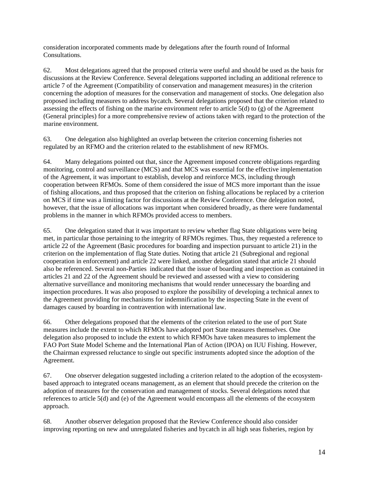consideration incorporated comments made by delegations after the fourth round of Informal **Consultations** 

62. Most delegations agreed that the proposed criteria were useful and should be used as the basis for discussions at the Review Conference. Several delegations supported including an additional reference to article 7 of the Agreement (Compatibility of conservation and management measures) in the criterion concerning the adoption of measures for the conservation and management of stocks. One delegation also proposed including measures to address bycatch. Several delegations proposed that the criterion related to assessing the effects of fishing on the marine environment refer to article 5(d) to (g) of the Agreement (General principles) for a more comprehensive review of actions taken with regard to the protection of the marine environment.

63. One delegation also highlighted an overlap between the criterion concerning fisheries not regulated by an RFMO and the criterion related to the establishment of new RFMOs.

64. Many delegations pointed out that, since the Agreement imposed concrete obligations regarding monitoring, control and surveillance (MCS) and that MCS was essential for the effective implementation of the Agreement, it was important to establish, develop and reinforce MCS, including through cooperation between RFMOs. Some of them considered the issue of MCS more important than the issue of fishing allocations, and thus proposed that the criterion on fishing allocations be replaced by a criterion on MCS if time was a limiting factor for discussions at the Review Conference. One delegation noted, however, that the issue of allocations was important when considered broadly, as there were fundamental problems in the manner in which RFMOs provided access to members.

65. One delegation stated that it was important to review whether flag State obligations were being met, in particular those pertaining to the integrity of RFMOs regimes. Thus, they requested a reference to article 22 of the Agreement (Basic procedures for boarding and inspection pursuant to article 21) in the criterion on the implementation of flag State duties. Noting that article 21 (Subregional and regional cooperation in enforcement) and article 22 were linked, another delegation stated that article 21 should also be referenced. Several non-Parties indicated that the issue of boarding and inspection as contained in articles 21 and 22 of the Agreement should be reviewed and assessed with a view to considering alternative surveillance and monitoring mechanisms that would render unnecessary the boarding and inspection procedures. It was also proposed to explore the possibility of developing a technical annex to the Agreement providing for mechanisms for indemnification by the inspecting State in the event of damages caused by boarding in contravention with international law.

66. Other delegations proposed that the elements of the criterion related to the use of port State measures include the extent to which RFMOs have adopted port State measures themselves. One delegation also proposed to include the extent to which RFMOs have taken measures to implement the FAO Port State Model Scheme and the International Plan of Action (IPOA) on IUU Fishing. However, the Chairman expressed reluctance to single out specific instruments adopted since the adoption of the Agreement.

67. One observer delegation suggested including a criterion related to the adoption of the ecosystembased approach to integrated oceans management, as an element that should precede the criterion on the adoption of measures for the conservation and management of stocks. Several delegations noted that references to article 5(d) and (e) of the Agreement would encompass all the elements of the ecosystem approach.

68. Another observer delegation proposed that the Review Conference should also consider improving reporting on new and unregulated fisheries and bycatch in all high seas fisheries, region by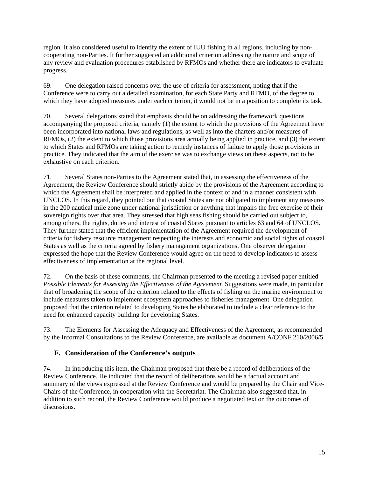region. It also considered useful to identify the extent of IUU fishing in all regions, including by noncooperating non-Parties. It further suggested an additional criterion addressing the nature and scope of any review and evaluation procedures established by RFMOs and whether there are indicators to evaluate progress.

69. One delegation raised concerns over the use of criteria for assessment, noting that if the Conference were to carry out a detailed examination, for each State Party and RFMO, of the degree to which they have adopted measures under each criterion, it would not be in a position to complete its task.

70. Several delegations stated that emphasis should be on addressing the framework questions accompanying the proposed criteria, namely (1) the extent to which the provisions of the Agreement have been incorporated into national laws and regulations, as well as into the charters and/or measures of RFMOs, (2) the extent to which those provisions area actually being applied in practice, and (3) the extent to which States and RFMOs are taking action to remedy instances of failure to apply those provisions in practice. They indicated that the aim of the exercise was to exchange views on these aspects, not to be exhaustive on each criterion.

71. Several States non-Parties to the Agreement stated that, in assessing the effectiveness of the Agreement, the Review Conference should strictly abide by the provisions of the Agreement according to which the Agreement shall be interpreted and applied in the context of and in a manner consistent with UNCLOS. In this regard, they pointed out that coastal States are not obligated to implement any measures in the 200 nautical mile zone under national jurisdiction or anything that impairs the free exercise of their sovereign rights over that area. They stressed that high seas fishing should be carried out subject to, among others, the rights, duties and interest of coastal States pursuant to articles 63 and 64 of UNCLOS. They further stated that the efficient implementation of the Agreement required the development of criteria for fishery resource management respecting the interests and economic and social rights of coastal States as well as the criteria agreed by fishery management organizations. One observer delegation expressed the hope that the Review Conference would agree on the need to develop indicators to assess effectiveness of implementation at the regional level.

72. On the basis of these comments, the Chairman presented to the meeting a revised paper entitled *Possible Elements for Assessing the Effectiveness of the Agreement.* Suggestions were made, in particular that of broadening the scope of the criterion related to the effects of fishing on the marine environment to include measures taken to implement ecosystem approaches to fisheries management. One delegation proposed that the criterion related to developing States be elaborated to include a clear reference to the need for enhanced capacity building for developing States.

73. The Elements for Assessing the Adequacy and Effectiveness of the Agreement, as recommended by the Informal Consultations to the Review Conference, are available as document A/CONF.210/2006/5.

### **F. Consideration of the Conference's outputs**

74. In introducing this item, the Chairman proposed that there be a record of deliberations of the Review Conference. He indicated that the record of deliberations would be a factual account and summary of the views expressed at the Review Conference and would be prepared by the Chair and Vice-Chairs of the Conference, in cooperation with the Secretariat. The Chairman also suggested that, in addition to such record, the Review Conference would produce a negotiated text on the outcomes of discussions.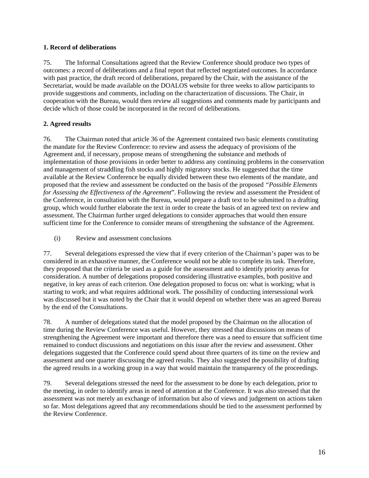#### **1. Record of deliberations**

75. The Informal Consultations agreed that the Review Conference should produce two types of outcomes: a record of deliberations and a final report that reflected negotiated outcomes. In accordance with past practice, the draft record of deliberations, prepared by the Chair, with the assistance of the Secretariat, would be made available on the DOALOS website for three weeks to allow participants to provide suggestions and comments, including on the characterization of discussions. The Chair, in cooperation with the Bureau, would then review all suggestions and comments made by participants and decide which of those could be incorporated in the record of deliberations.

#### **2. Agreed results**

76. The Chairman noted that article 36 of the Agreement contained two basic elements constituting the mandate for the Review Conference: to review and assess the adequacy of provisions of the Agreement and, if necessary, propose means of strengthening the substance and methods of implementation of those provisions in order better to address any continuing problems in the conservation and management of straddling fish stocks and highly migratory stocks. He suggested that the time available at the Review Conference be equally divided between these two elements of the mandate, and proposed that the review and assessment be conducted on the basis of the proposed *"Possible Elements for Assessing the Effectiveness of the Agreement*". Following the review and assessment the President of the Conference, in consultation with the Bureau, would prepare a draft text to be submitted to a drafting group, which would further elaborate the text in order to create the basis of an agreed text on review and assessment. The Chairman further urged delegations to consider approaches that would then ensure sufficient time for the Conference to consider means of strengthening the substance of the Agreement.

(i) Review and assessment conclusions

77. Several delegations expressed the view that if every criterion of the Chairman's paper was to be considered in an exhaustive manner, the Conference would not be able to complete its task. Therefore, they proposed that the criteria be used as a guide for the assessment and to identify priority areas for consideration. A number of delegations proposed considering illustrative examples, both positive and negative, in key areas of each criterion. One delegation proposed to focus on: what is working; what is starting to work; and what requires additional work. The possibility of conducting intersessional work was discussed but it was noted by the Chair that it would depend on whether there was an agreed Bureau by the end of the Consultations.

78. A number of delegations stated that the model proposed by the Chairman on the allocation of time during the Review Conference was useful. However, they stressed that discussions on means of strengthening the Agreement were important and therefore there was a need to ensure that sufficient time remained to conduct discussions and negotiations on this issue after the review and assessment. Other delegations suggested that the Conference could spend about three quarters of its time on the review and assessment and one quarter discussing the agreed results. They also suggested the possibility of drafting the agreed results in a working group in a way that would maintain the transparency of the proceedings.

79. Several delegations stressed the need for the assessment to be done by each delegation, prior to the meeting, in order to identify areas in need of attention at the Conference. It was also stressed that the assessment was not merely an exchange of information but also of views and judgement on actions taken so far. Most delegations agreed that any recommendations should be tied to the assessment performed by the Review Conference.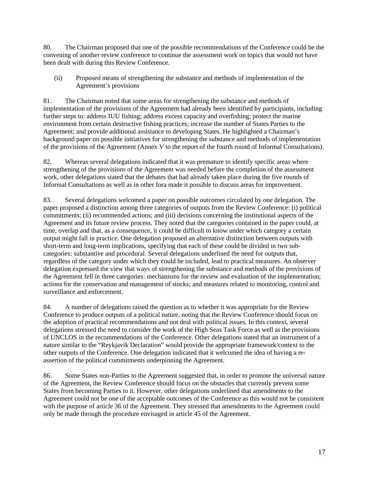80. The Chairman proposed that one of the possible recommendations of the Conference could be the convening of another review conference to continue the assessment work on topics that would not have been dealt with during this Review Conference.

(ii) Proposed means of strengthening the substance and methods of implementation of the Agreement's provisions

81. The Chairman noted that some areas for strengthening the substance and methods of implementation of the provisions of the Agreement had already been identified by participants, including further steps to: address IUU fishing; address excess capacity and overfishing; protect the marine environment from certain destructive fishing practices; increase the number of States Parties to the Agreement; and provide additional assistance to developing States. He highlighted a Chairman's background paper on possible initiatives for strengthening the substance and methods of implementation of the provisions of the Agreement (Annex V to the report of the fourth round of Informal Consultations).

82. Whereas several delegations indicated that it was premature to identify specific areas where strengthening of the provisions of the Agreement was needed before the completion of the assessment work, other delegations stated that the debates that had already taken place during the five rounds of Informal Consultations as well as in other fora made it possible to discuss areas for improvement.

83. Several delegations welcomed a paper on possible outcomes circulated by one delegation. The paper proposed a distinction among three categories of outputs from the Review Conference: (i) political commitments; (ii) recommended actions; and (iii) decisions concerning the institutional aspects of the Agreement and its future review process. They noted that the categories contained in the paper could, at time, overlap and that, as a consequence, it could be difficult to know under which category a certain output might fall in practice. One delegation proposed an alternative distinction between outputs with short-term and long-term implications, specifying that each of these could be divided in two subcategories: substantive and procedural. Several delegations underlined the need for outputs that, regardless of the category under which they could be included, lead to practical measures. An observer delegation expressed the view that ways of strengthening the substance and methods of the provisions of the Agreement fell in three categories: mechanisms for the review and evaluation of the implementation; actions for the conservation and management of stocks; and measures related to monitoring, control and surveillance and enforcement.

84. A number of delegations raised the question as to whether it was appropriate for the Review Conference to produce outputs of a political nature, noting that the Review Conference should focus on the adoption of practical recommendations and not deal with political issues. In this context, several delegations stressed the need to consider the work of the High Seas Task Force as well as the provisions of UNCLOS in the recommendations of the Conference. Other delegations stated that an instrument of a nature similar to the "Reykjavik Declaration" would provide the appropriate framework/context to the other outputs of the Conference. One delegation indicated that it welcomed the idea of having a reassertion of the political commitments underpinning the Agreement.

86. Some States non-Parties to the Agreement suggested that, in order to promote the universal nature of the Agreement, the Review Conference should focus on the obstacles that currently prevent some States from becoming Parties to it. However, other delegations underlined that amendments to the Agreement could not be one of the acceptable outcomes of the Conference as this would not be consistent with the purpose of article 36 of the Agreement. They stressed that amendments to the Agreement could only be made through the procedure envisaged in article 45 of the Agreement.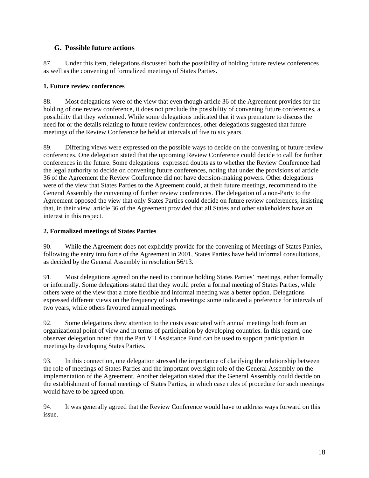### **G. Possible future actions**

87. Under this item, delegations discussed both the possibility of holding future review conferences as well as the convening of formalized meetings of States Parties.

#### **1. Future review conferences**

88. Most delegations were of the view that even though article 36 of the Agreement provides for the holding of one review conference, it does not preclude the possibility of convening future conferences, a possibility that they welcomed. While some delegations indicated that it was premature to discuss the need for or the details relating to future review conferences, other delegations suggested that future meetings of the Review Conference be held at intervals of five to six years.

89. Differing views were expressed on the possible ways to decide on the convening of future review conferences. One delegation stated that the upcoming Review Conference could decide to call for further conferences in the future. Some delegations expressed doubts as to whether the Review Conference had the legal authority to decide on convening future conferences, noting that under the provisions of article 36 of the Agreement the Review Conference did not have decision-making powers. Other delegations were of the view that States Parties to the Agreement could, at their future meetings, recommend to the General Assembly the convening of further review conferences. The delegation of a non-Party to the Agreement opposed the view that only States Parties could decide on future review conferences, insisting that, in their view, article 36 of the Agreement provided that all States and other stakeholders have an interest in this respect.

#### **2. Formalized meetings of States Parties**

90. While the Agreement does not explicitly provide for the convening of Meetings of States Parties, following the entry into force of the Agreement in 2001, States Parties have held informal consultations, as decided by the General Assembly in resolution 56/13.

91. Most delegations agreed on the need to continue holding States Parties' meetings, either formally or informally. Some delegations stated that they would prefer a formal meeting of States Parties, while others were of the view that a more flexible and informal meeting was a better option. Delegations expressed different views on the frequency of such meetings: some indicated a preference for intervals of two years, while others favoured annual meetings.

92. Some delegations drew attention to the costs associated with annual meetings both from an organizational point of view and in terms of participation by developing countries. In this regard, one observer delegation noted that the Part VII Assistance Fund can be used to support participation in meetings by developing States Parties.

93. In this connection, one delegation stressed the importance of clarifying the relationship between the role of meetings of States Parties and the important oversight role of the General Assembly on the implementation of the Agreement. Another delegation stated that the General Assembly could decide on the establishment of formal meetings of States Parties, in which case rules of procedure for such meetings would have to be agreed upon.

94. It was generally agreed that the Review Conference would have to address ways forward on this issue.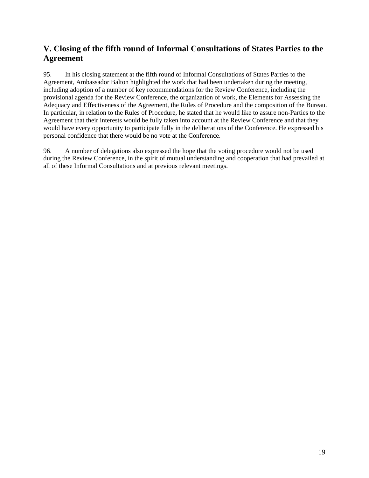# **V. Closing of the fifth round of Informal Consultations of States Parties to the Agreement**

95. In his closing statement at the fifth round of Informal Consultations of States Parties to the Agreement, Ambassador Balton highlighted the work that had been undertaken during the meeting, including adoption of a number of key recommendations for the Review Conference, including the provisional agenda for the Review Conference, the organization of work, the Elements for Assessing the Adequacy and Effectiveness of the Agreement, the Rules of Procedure and the composition of the Bureau. In particular, in relation to the Rules of Procedure, he stated that he would like to assure non-Parties to the Agreement that their interests would be fully taken into account at the Review Conference and that they would have every opportunity to participate fully in the deliberations of the Conference. He expressed his personal confidence that there would be no vote at the Conference.

96. A number of delegations also expressed the hope that the voting procedure would not be used during the Review Conference, in the spirit of mutual understanding and cooperation that had prevailed at all of these Informal Consultations and at previous relevant meetings.